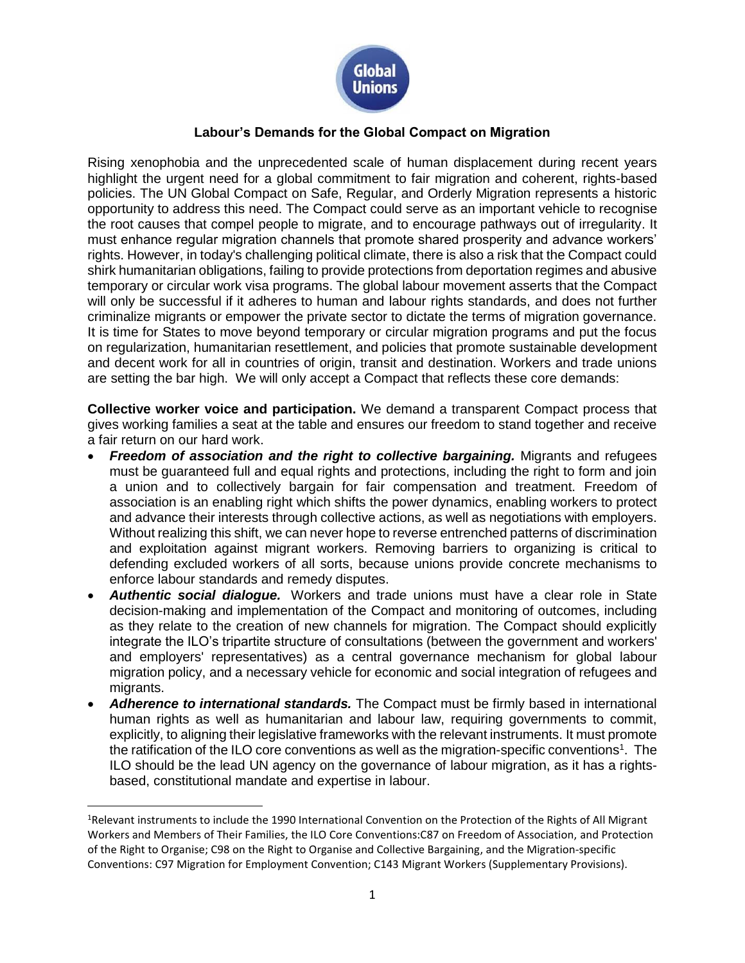

## **Labour's Demands for the Global Compact on Migration**

Rising xenophobia and the unprecedented scale of human displacement during recent years highlight the urgent need for a global commitment to fair migration and coherent, rights-based policies. The UN Global Compact on Safe, Regular, and Orderly Migration represents a historic opportunity to address this need. The Compact could serve as an important vehicle to recognise the root causes that compel people to migrate, and to encourage pathways out of irregularity. It must enhance regular migration channels that promote shared prosperity and advance workers' rights. However, in today's challenging political climate, there is also a risk that the Compact could shirk humanitarian obligations, failing to provide protections from deportation regimes and abusive temporary or circular work visa programs. The global labour movement asserts that the Compact will only be successful if it adheres to human and labour rights standards, and does not further criminalize migrants or empower the private sector to dictate the terms of migration governance. It is time for States to move beyond temporary or circular migration programs and put the focus on regularization, humanitarian resettlement, and policies that promote sustainable development and decent work for all in countries of origin, transit and destination. Workers and trade unions are setting the bar high. We will only accept a Compact that reflects these core demands:

**Collective worker voice and participation.** We demand a transparent Compact process that gives working families a seat at the table and ensures our freedom to stand together and receive a fair return on our hard work.

- *Freedom of association and the right to collective bargaining.* Migrants and refugees must be guaranteed full and equal rights and protections, including the right to form and join a union and to collectively bargain for fair compensation and treatment. Freedom of association is an enabling right which shifts the power dynamics, enabling workers to protect and advance their interests through collective actions, as well as negotiations with employers. Without realizing this shift, we can never hope to reverse entrenched patterns of discrimination and exploitation against migrant workers. Removing barriers to organizing is critical to defending excluded workers of all sorts, because unions provide concrete mechanisms to enforce labour standards and remedy disputes.
- *Authentic social dialogue.* Workers and trade unions must have a clear role in State decision-making and implementation of the Compact and monitoring of outcomes, including as they relate to the creation of new channels for migration. The Compact should explicitly integrate the ILO's tripartite structure of consultations (between the government and workers' and employers' representatives) as a central governance mechanism for global labour migration policy, and a necessary vehicle for economic and social integration of refugees and migrants.
- *Adherence to international standards.* The Compact must be firmly based in international human rights as well as humanitarian and labour law, requiring governments to commit, explicitly, to aligning their legislative frameworks with the relevant instruments. It must promote the ratification of the ILO core conventions as well as the migration-specific conventions<sup>1</sup>. The ILO should be the lead UN agency on the governance of labour migration, as it has a rightsbased, constitutional mandate and expertise in labour.

l

<sup>&</sup>lt;sup>1</sup>Relevant instruments to include the 1990 International Convention on the Protection of the Rights of All Migrant Workers and Members of Their Families, the ILO Core Conventions:C87 on Freedom of Association, and Protection of the Right to Organise; C98 on the Right to Organise and Collective Bargaining, and the Migration-specific Conventions: C97 Migration for Employment Convention; C143 Migrant Workers (Supplementary Provisions).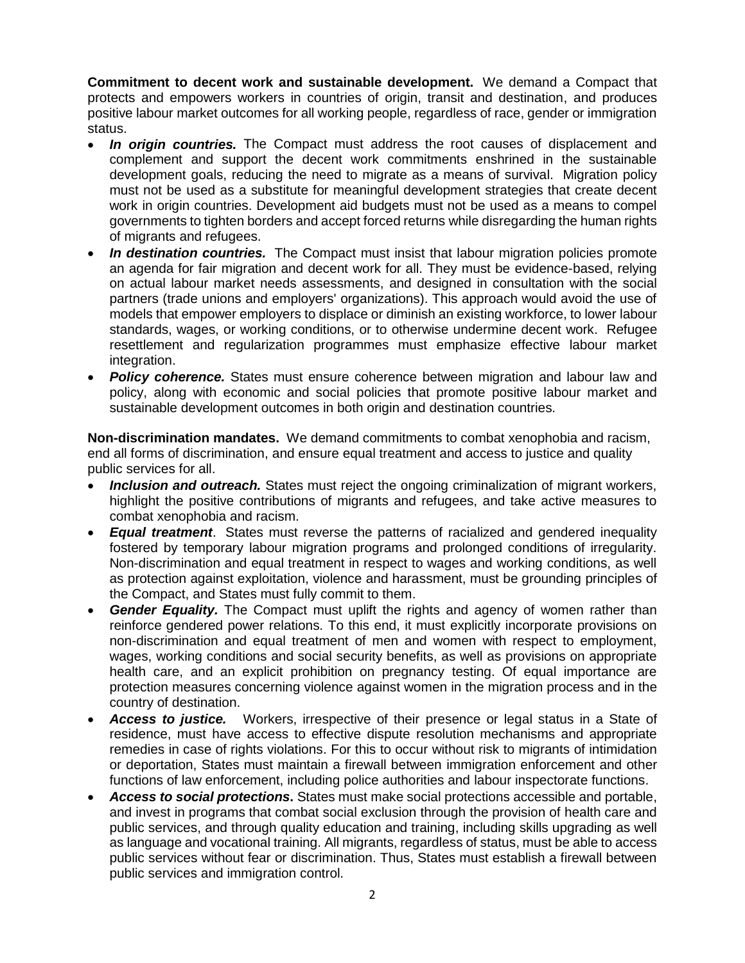**Commitment to decent work and sustainable development.** We demand a Compact that protects and empowers workers in countries of origin, transit and destination, and produces positive labour market outcomes for all working people, regardless of race, gender or immigration status.

- *In origin countries.* The Compact must address the root causes of displacement and complement and support the decent work commitments enshrined in the sustainable development goals, reducing the need to migrate as a means of survival. Migration policy must not be used as a substitute for meaningful development strategies that create decent work in origin countries. Development aid budgets must not be used as a means to compel governments to tighten borders and accept forced returns while disregarding the human rights of migrants and refugees.
- *In destination countries.* The Compact must insist that labour migration policies promote an agenda for fair migration and decent work for all. They must be evidence-based, relying on actual labour market needs assessments, and designed in consultation with the social partners (trade unions and employers' organizations). This approach would avoid the use of models that empower employers to displace or diminish an existing workforce, to lower labour standards, wages, or working conditions, or to otherwise undermine decent work. Refugee resettlement and regularization programmes must emphasize effective labour market integration.
- **Policy coherence.** States must ensure coherence between migration and labour law and policy, along with economic and social policies that promote positive labour market and sustainable development outcomes in both origin and destination countries.

**Non-discrimination mandates.** We demand commitments to combat xenophobia and racism, end all forms of discrimination, and ensure equal treatment and access to justice and quality public services for all.

- *Inclusion and outreach.* States must reject the ongoing criminalization of migrant workers, highlight the positive contributions of migrants and refugees, and take active measures to combat xenophobia and racism.
- *Equal treatment*. States must reverse the patterns of racialized and gendered inequality fostered by temporary labour migration programs and prolonged conditions of irregularity. Non-discrimination and equal treatment in respect to wages and working conditions, as well as protection against exploitation, violence and harassment, must be grounding principles of the Compact, and States must fully commit to them.
- **Gender Equality.** The Compact must uplift the rights and agency of women rather than reinforce gendered power relations. To this end, it must explicitly incorporate provisions on non-discrimination and equal treatment of men and women with respect to employment, wages, working conditions and social security benefits, as well as provisions on appropriate health care, and an explicit prohibition on pregnancy testing. Of equal importance are protection measures concerning violence against women in the migration process and in the country of destination.
- *Access to justice.* Workers, irrespective of their presence or legal status in a State of residence, must have access to effective dispute resolution mechanisms and appropriate remedies in case of rights violations. For this to occur without risk to migrants of intimidation or deportation, States must maintain a firewall between immigration enforcement and other functions of law enforcement, including police authorities and labour inspectorate functions.
- *Access to social protections***.** States must make social protections accessible and portable, and invest in programs that combat social exclusion through the provision of health care and public services, and through quality education and training, including skills upgrading as well as language and vocational training. All migrants, regardless of status, must be able to access public services without fear or discrimination. Thus, States must establish a firewall between public services and immigration control.